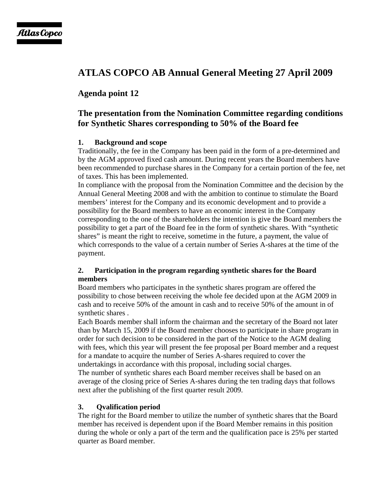# **ATLAS COPCO AB Annual General Meeting 27 April 2009**

# **Agenda point 12**

# **The presentation from the Nomination Committee regarding conditions for Synthetic Shares corresponding to 50% of the Board fee**

#### **1. Background and scope**

Traditionally, the fee in the Company has been paid in the form of a pre-determined and by the AGM approved fixed cash amount. During recent years the Board members have been recommended to purchase shares in the Company for a certain portion of the fee, net of taxes. This has been implemented.

In compliance with the proposal from the Nomination Committee and the decision by the Annual General Meeting 2008 and with the ambition to continue to stimulate the Board members' interest for the Company and its economic development and to provide a possibility for the Board members to have an economic interest in the Company corresponding to the one of the shareholders the intention is give the Board members the possibility to get a part of the Board fee in the form of synthetic shares. With "synthetic shares" is meant the right to receive, sometime in the future, a payment, the value of which corresponds to the value of a certain number of Series A-shares at the time of the payment.

#### **2. Participation in the program regarding synthetic shares for the Board members**

Board members who participates in the synthetic shares program are offered the possibility to chose between receiving the whole fee decided upon at the AGM 2009 in cash and to receive 50% of the amount in cash and to receive 50% of the amount in of synthetic shares .

Each Boards member shall inform the chairman and the secretary of the Board not later than by March 15, 2009 if the Board member chooses to participate in share program in order for such decision to be considered in the part of the Notice to the AGM dealing with fees, which this year will present the fee proposal per Board member and a request for a mandate to acquire the number of Series A-shares required to cover the undertakings in accordance with this proposal, including social charges. The number of synthetic shares each Board member receives shall be based on an average of the closing price of Series A-shares during the ten trading days that follows next after the publishing of the first quarter result 2009.

#### **3. Qvalification period**

The right for the Board member to utilize the number of synthetic shares that the Board member has received is dependent upon if the Board Member remains in this position during the whole or only a part of the term and the qualification pace is 25% per started quarter as Board member.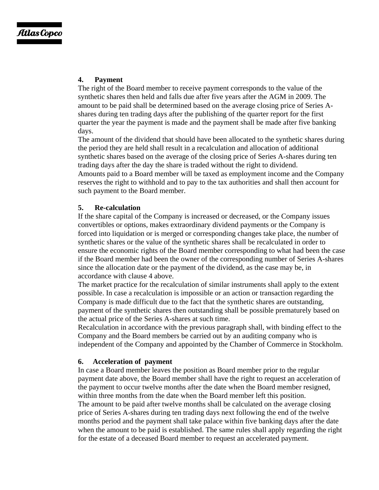## **4. Payment**

The right of the Board member to receive payment corresponds to the value of the synthetic shares then held and falls due after five years after the AGM in 2009. The amount to be paid shall be determined based on the average closing price of Series Ashares during ten trading days after the publishing of the quarter report for the first quarter the year the payment is made and the payment shall be made after five banking days.

The amount of the dividend that should have been allocated to the synthetic shares during the period they are held shall result in a recalculation and allocation of additional synthetic shares based on the average of the closing price of Series A-shares during ten trading days after the day the share is traded without the right to dividend. Amounts paid to a Board member will be taxed as employment income and the Company reserves the right to withhold and to pay to the tax authorities and shall then account for such payment to the Board member.

#### **5. Re-calculation**

If the share capital of the Company is increased or decreased, or the Company issues convertibles or options, makes extraordinary dividend payments or the Company is forced into liquidation or is merged or corresponding changes take place, the number of synthetic shares or the value of the synthetic shares shall be recalculated in order to ensure the economic rights of the Board member corresponding to what had been the case if the Board member had been the owner of the corresponding number of Series A-shares since the allocation date or the payment of the dividend, as the case may be, in accordance with clause 4 above.

The market practice for the recalculation of similar instruments shall apply to the extent possible. In case a recalculation is impossible or an action or transaction regarding the Company is made difficult due to the fact that the synthetic shares are outstanding, payment of the synthetic shares then outstanding shall be possible prematurely based on the actual price of the Series A-shares at such time.

Recalculation in accordance with the previous paragraph shall, with binding effect to the Company and the Board members be carried out by an auditing company who is independent of the Company and appointed by the Chamber of Commerce in Stockholm.

## **6. Acceleration of payment**

In case a Board member leaves the position as Board member prior to the regular payment date above, the Board member shall have the right to request an acceleration of the payment to occur twelve months after the date when the Board member resigned, within three months from the date when the Board member left this position. The amount to be paid after twelve months shall be calculated on the average closing price of Series A-shares during ten trading days next following the end of the twelve months period and the payment shall take palace within five banking days after the date when the amount to be paid is established. The same rules shall apply regarding the right for the estate of a deceased Board member to request an accelerated payment.